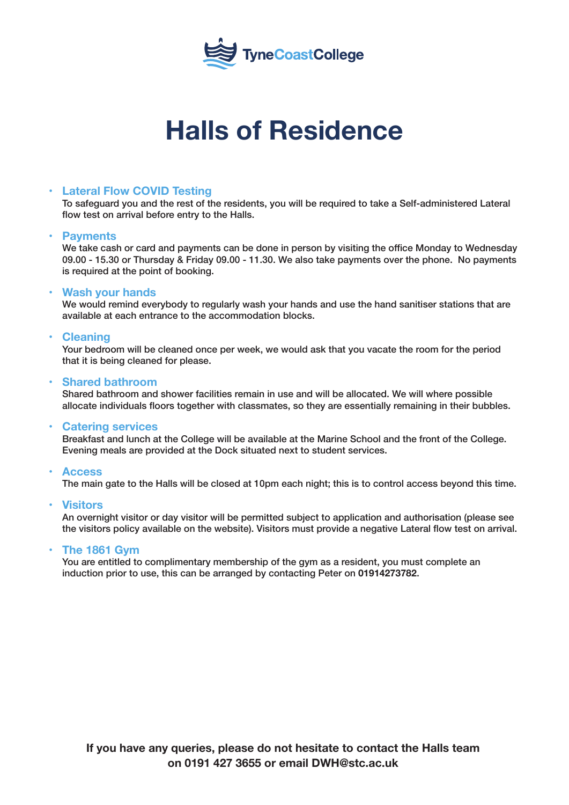

# **Halls of Residence**

#### **Lateral Flow COVID Testing**

To safeguard you and the rest of the residents, you will be required to take a Self-administered Lateral flow test on arrival before entry to the Halls.

#### **• Payments**

We take cash or card and payments can be done in person by visiting the office Monday to Wednesday 09.00 - 15.30 or Thursday & Friday 09.00 - 11.30. We also take payments over the phone. No payments is required at the point of booking.

#### **• Wash your hands**

We would remind everybody to regularly wash your hands and use the hand sanitiser stations that are available at each entrance to the accommodation blocks.

#### **• Cleaning**

Your bedroom will be cleaned once per week, we would ask that you vacate the room for the period that it is being cleaned for please.

#### **• Shared bathroom**

Shared bathroom and shower facilities remain in use and will be allocated. We will where possible allocate individuals floors together with classmates, so they are essentially remaining in their bubbles.

#### **• Catering services**

Breakfast and lunch at the College will be available at the Marine School and the front of the College. Evening meals are provided at the Dock situated next to student services.

#### **• Access**

The main gate to the Halls will be closed at 10pm each night; this is to control access beyond this time.

#### **• Visitors**

An overnight visitor or day visitor will be permitted subject to application and authorisation (please see the visitors policy available on the website). Visitors must provide a negative Lateral flow test on arrival.

#### **• The 1861 Gym**

You are entitled to complimentary membership of the gym as a resident, you must complete an induction prior to use, this can be arranged by contacting Peter on **01914273782**.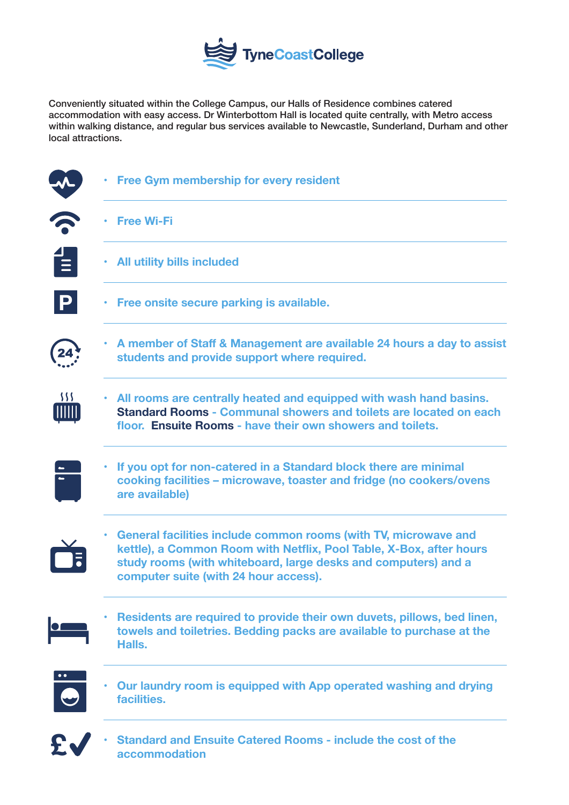

Conveniently situated within the College Campus, our Halls of Residence combines catered accommodation with easy access. Dr Winterbottom Hall is located quite centrally, with Metro access within walking distance, and regular bus services available to Newcastle, Sunderland, Durham and other local attractions.

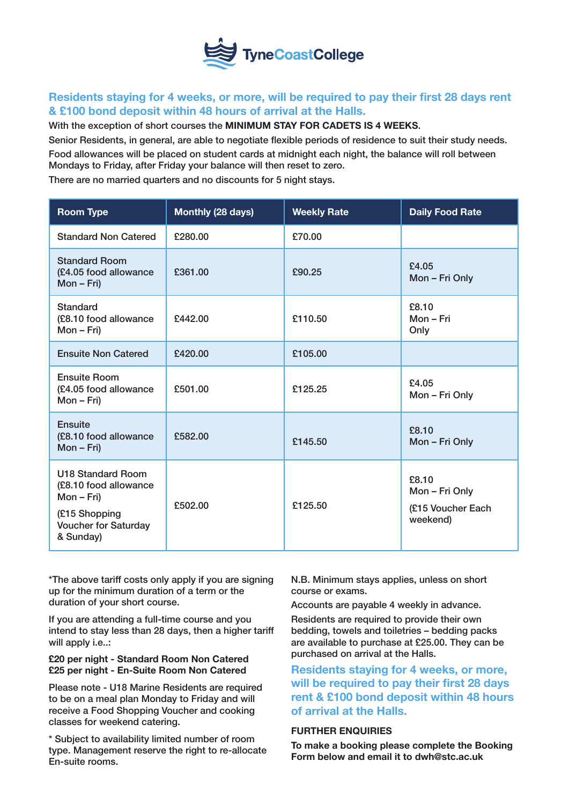

#### **Residents staying for 4 weeks, or more, will be required to pay their first 28 days rent & £100 bond deposit within 48 hours of arrival at the Halls.**

With the exception of short courses the **MINIMUM STAY FOR CADETS IS 4 WEEKS**.

Senior Residents, in general, are able to negotiate flexible periods of residence to suit their study needs. Food allowances will be placed on student cards at midnight each night, the balance will roll between Mondays to Friday, after Friday your balance will then reset to zero.

There are no married quarters and no discounts for 5 night stays.

| <b>Room Type</b>                                                                                                      | Monthly (28 days) | <b>Weekly Rate</b> | <b>Daily Food Rate</b>                                   |
|-----------------------------------------------------------------------------------------------------------------------|-------------------|--------------------|----------------------------------------------------------|
| <b>Standard Non Catered</b>                                                                                           | £280.00           | £70.00             |                                                          |
| <b>Standard Room</b><br>(£4.05 food allowance<br>$Mon - Fri)$                                                         | £361.00           | £90.25             | £4.05<br>Mon - Fri Only                                  |
| Standard<br>(£8.10 food allowance<br>$Mon - Fri)$                                                                     | £442.00           | £110.50            | £8.10<br>Mon - Fri<br>Only                               |
| <b>Ensuite Non Catered</b>                                                                                            | £420.00           | £105,00            |                                                          |
| <b>Ensuite Room</b><br>(£4.05 food allowance<br>Mon - Fri)                                                            | £501.00           | £125.25            | £4.05<br>Mon - Fri Only                                  |
| <b>Ensuite</b><br>(£8.10 food allowance<br>$Mon - Fri)$                                                               | £582.00           | £145.50            | £8.10<br>Mon - Fri Only                                  |
| U18 Standard Room<br>(£8.10 food allowance<br>Mon - Fri)<br>(£15 Shopping<br><b>Voucher for Saturday</b><br>& Sunday) | £502.00           | £125.50            | £8.10<br>Mon - Fri Only<br>(£15 Voucher Each<br>weekend) |

\*The above tariff costs only apply if you are signing up for the minimum duration of a term or the duration of your short course.

If you are attending a full-time course and you intend to stay less than 28 days, then a higher tariff will apply i.e..:

#### **£20 per night - Standard Room Non Catered £25 per night - En-Suite Room Non Catered**

Please note - U18 Marine Residents are required to be on a meal plan Monday to Friday and will receive a Food Shopping Voucher and cooking classes for weekend catering.

\* Subject to availability limited number of room type. Management reserve the right to re-allocate En-suite rooms.

N.B. Minimum stays applies, unless on short course or exams.

Accounts are payable 4 weekly in advance.

Residents are required to provide their own bedding, towels and toiletries – bedding packs are available to purchase at £25.00. They can be purchased on arrival at the Halls.

**Residents staying for 4 weeks, or more, will be required to pay their first 28 days rent & £100 bond deposit within 48 hours of arrival at the Halls.**

#### **FURTHER ENQUIRIES**

**To make a booking please complete the Booking Form below and email it to dwh@stc.ac.uk**